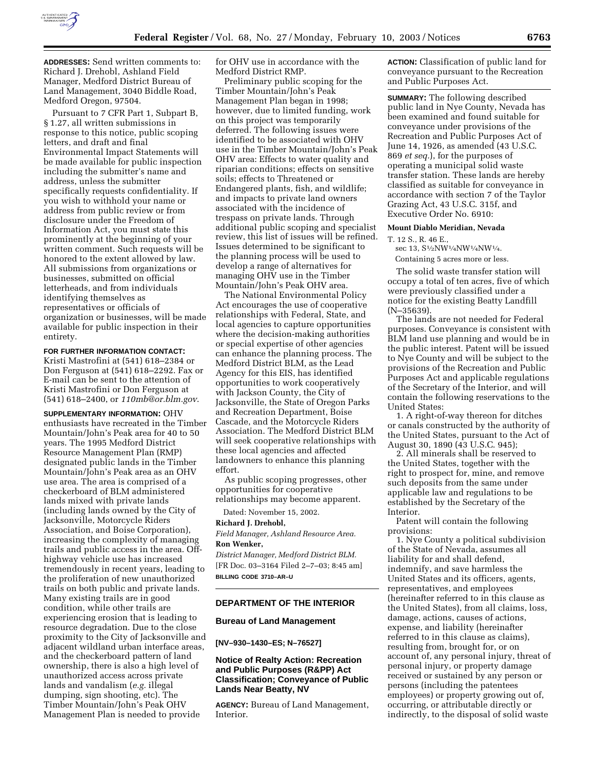

**ADDRESSES:** Send written comments to: Richard J. Drehobl, Ashland Field Manager, Medford District Bureau of Land Management, 3040 Biddle Road, Medford Oregon, 97504.

Pursuant to 7 CFR Part 1, Subpart B, § 1.27, all written submissions in response to this notice, public scoping letters, and draft and final Environmental Impact Statements will be made available for public inspection including the submitter's name and address, unless the submitter specifically requests confidentiality. If you wish to withhold your name or address from public review or from disclosure under the Freedom of Information Act, you must state this prominently at the beginning of your written comment. Such requests will be honored to the extent allowed by law. All submissions from organizations or businesses, submitted on official letterheads, and from individuals identifying themselves as representatives or officials of organization or businesses, will be made available for public inspection in their entirety.

## **FOR FURTHER INFORMATION CONTACT:**

Kristi Mastrofini at (541) 618–2384 or Don Ferguson at (541) 618–2292. Fax or E-mail can be sent to the attention of Kristi Mastrofini or Don Ferguson at (541) 618–2400, or *110mb@or.blm.gov*.

**SUPPLEMENTARY INFORMATION:** OHV enthusiasts have recreated in the Timber Mountain/John's Peak area for 40 to 50 years. The 1995 Medford District Resource Management Plan (RMP) designated public lands in the Timber Mountain/John's Peak area as an OHV use area. The area is comprised of a checkerboard of BLM administered lands mixed with private lands (including lands owned by the City of Jacksonville, Motorcycle Riders Association, and Boise Corporation), increasing the complexity of managing trails and public access in the area. Offhighway vehicle use has increased tremendously in recent years, leading to the proliferation of new unauthorized trails on both public and private lands. Many existing trails are in good condition, while other trails are experiencing erosion that is leading to resource degradation. Due to the close proximity to the City of Jacksonville and adjacent wildland urban interface areas, and the checkerboard pattern of land ownership, there is also a high level of unauthorized access across private lands and vandalism (*e.g.* illegal dumping, sign shooting, etc). The Timber Mountain/John's Peak OHV Management Plan is needed to provide

for OHV use in accordance with the Medford District RMP.

Preliminary public scoping for the Timber Mountain/John's Peak Management Plan began in 1998; however, due to limited funding, work on this project was temporarily deferred. The following issues were identified to be associated with OHV use in the Timber Mountain/John's Peak OHV area: Effects to water quality and riparian conditions; effects on sensitive soils; effects to Threatened or Endangered plants, fish, and wildlife; and impacts to private land owners associated with the incidence of trespass on private lands. Through additional public scoping and specialist review, this list of issues will be refined. Issues determined to be significant to the planning process will be used to develop a range of alternatives for managing OHV use in the Timber Mountain/John's Peak OHV area.

The National Environmental Policy Act encourages the use of cooperative relationships with Federal, State, and local agencies to capture opportunities where the decision-making authorities or special expertise of other agencies can enhance the planning process. The Medford District BLM, as the Lead Agency for this EIS, has identified opportunities to work cooperatively with Jackson County, the City of Jacksonville, the State of Oregon Parks and Recreation Department, Boise Cascade, and the Motorcycle Riders Association. The Medford District BLM will seek cooperative relationships with these local agencies and affected landowners to enhance this planning effort.

As public scoping progresses, other opportunities for cooperative relationships may become apparent.

Dated: November 15, 2002.

#### **Richard J. Drehobl,**

*Field Manager, Ashland Resource Area.*  **Ron Wenker,** 

*District Manager, Medford District BLM.* [FR Doc. 03–3164 Filed 2–7–03; 8:45 am] **BILLING CODE 3710–AR–U**

# **DEPARTMENT OF THE INTERIOR**

#### **Bureau of Land Management**

#### **[NV–930–1430–ES; N–76527]**

# **Notice of Realty Action: Recreation and Public Purposes (R&PP) Act Classification; Conveyance of Public Lands Near Beatty, NV**

**AGENCY:** Bureau of Land Management, Interior.

**ACTION:** Classification of public land for conveyance pursuant to the Recreation and Public Purposes Act.

**SUMMARY:** The following described public land in Nye County, Nevada has been examined and found suitable for conveyance under provisions of the Recreation and Public Purposes Act of June 14, 1926, as amended (43 U.S.C. 869 *et seq.*), for the purposes of operating a municipal solid waste transfer station. These lands are hereby classified as suitable for conveyance in accordance with section 7 of the Taylor Grazing Act, 43 U.S.C. 315f, and Executive Order No. 6910:

## **Mount Diablo Meridian, Nevada**

- T. 12 S., R. 46 E.,
- sec 13, S<sup>1</sup>/<sub>2</sub>NW<sup>1</sup>/<sub>4</sub>NW<sup>1</sup>/<sub>4</sub>NW<sup>1</sup>/<sub>4</sub>.
- Containing 5 acres more or less.

The solid waste transfer station will occupy a total of ten acres, five of which were previously classified under a notice for the existing Beatty Landfill (N–35639).

The lands are not needed for Federal purposes. Conveyance is consistent with BLM land use planning and would be in the public interest. Patent will be issued to Nye County and will be subject to the provisions of the Recreation and Public Purposes Act and applicable regulations of the Secretary of the Interior, and will contain the following reservations to the United States:

1. A right-of-way thereon for ditches or canals constructed by the authority of the United States, pursuant to the Act of August 30, 1890 (43 U.S.C. 945);

2. All minerals shall be reserved to the United States, together with the right to prospect for, mine, and remove such deposits from the same under applicable law and regulations to be established by the Secretary of the Interior.

Patent will contain the following provisions:

1. Nye County a political subdivision of the State of Nevada, assumes all liability for and shall defend, indemnify, and save harmless the United States and its officers, agents, representatives, and employees (hereinafter referred to in this clause as the United States), from all claims, loss, damage, actions, causes of actions, expense, and liability (hereinafter referred to in this clause as claims), resulting from, brought for, or on account of, any personal injury, threat of personal injury, or property damage received or sustained by any person or persons (including the patentees employees) or property growing out of, occurring, or attributable directly or indirectly, to the disposal of solid waste